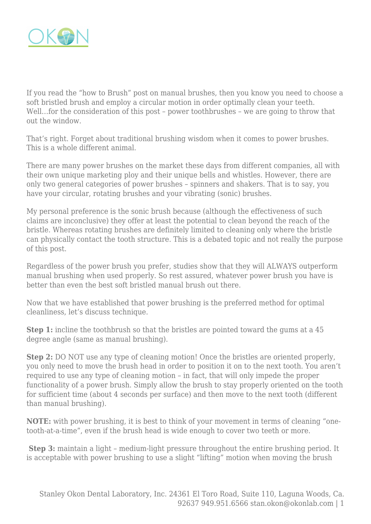

If you read the "how to Brush" post on manual brushes, then you know you need to choose a soft bristled brush and employ a circular motion in order optimally clean your teeth. Well...for the consideration of this post – power toothbrushes – we are going to throw that out the window.

That's right. Forget about traditional brushing wisdom when it comes to power brushes. This is a whole different animal.

There are many power brushes on the market these days from different companies, all with their own unique marketing ploy and their unique bells and whistles. However, there are only two general categories of power brushes – spinners and shakers. That is to say, you have your circular, rotating brushes and your vibrating (sonic) brushes.

My personal preference is the sonic brush because (although the effectiveness of such claims are inconclusive) they offer at least the potential to clean beyond the reach of the bristle. Whereas rotating brushes are definitely limited to cleaning only where the bristle can physically contact the tooth structure. This is a debated topic and not really the purpose of this post.

Regardless of the power brush you prefer, studies show that they will ALWAYS outperform manual brushing when used properly. So rest assured, whatever power brush you have is better than even the best soft bristled manual brush out there.

Now that we have established that power brushing is the preferred method for optimal cleanliness, let's discuss technique.

**Step 1:** incline the toothbrush so that the bristles are pointed toward the gums at a 45 degree angle (same as manual brushing).

**Step 2:** DO NOT use any type of cleaning motion! Once the bristles are oriented properly, you only need to move the brush head in order to position it on to the next tooth. You aren't required to use any type of cleaning motion – in fact, that will only impede the proper functionality of a power brush. Simply allow the brush to stay properly oriented on the tooth for sufficient time (about 4 seconds per surface) and then move to the next tooth (different than manual brushing).

**NOTE:** with power brushing, it is best to think of your movement in terms of cleaning "onetooth-at-a-time", even if the brush head is wide enough to cover two teeth or more.

 **Step 3:** maintain a light – medium-light pressure throughout the entire brushing period. It is acceptable with power brushing to use a slight "lifting" motion when moving the brush